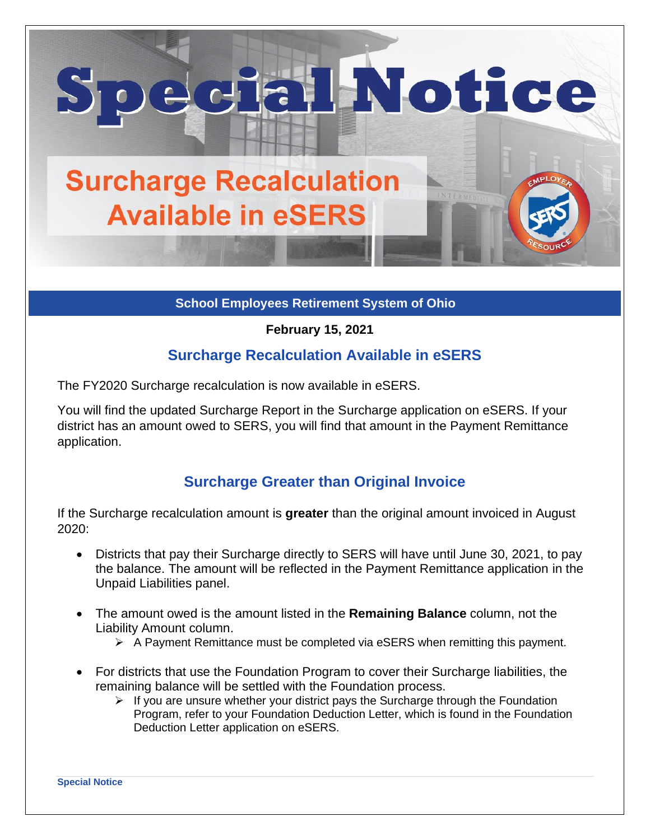

**School Employees Retirement System of Ohio**

**February 15, 2021**

## **Surcharge Recalculation Available in eSERS**

The FY2020 Surcharge recalculation is now available in eSERS.

You will find the updated Surcharge Report in the Surcharge application on eSERS. If your district has an amount owed to SERS, you will find that amount in the Payment Remittance application.

## **Surcharge Greater than Original Invoice**

If the Surcharge recalculation amount is **greater** than the original amount invoiced in August 2020:

- Districts that pay their Surcharge directly to SERS will have until June 30, 2021, to pay the balance. The amount will be reflected in the Payment Remittance application in the Unpaid Liabilities panel.
- The amount owed is the amount listed in the **Remaining Balance** column, not the Liability Amount column.
	- ➢ A Payment Remittance must be completed via eSERS when remitting this payment.
- For districts that use the Foundation Program to cover their Surcharge liabilities, the remaining balance will be settled with the Foundation process.
	- $\triangleright$  If you are unsure whether your district pays the Surcharge through the Foundation Program, refer to your Foundation Deduction Letter, which is found in the Foundation Deduction Letter application on eSERS.